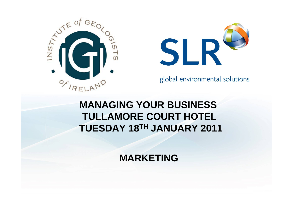



global environmental solutions

### **MANAGING YOUR BUSINESS TULLAMORE COURT HOTEL TUESDAY 18TH JANUARY 2011**

**MARKETING**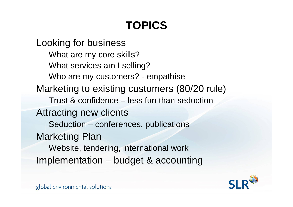### **TOPICS**

Looking for business What are my core skills? What services am I selling? Who are my customers? - empathise Marketing to existing customers (80/20 rule) Trust & confidence – less fun than seductionAttracting new clients Seduction – conferences, publications Marketing Plan Website, tendering, international work Implementation – budget & accounting

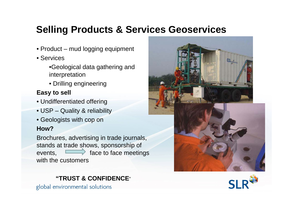### **Selling Products & Services Geoservices**

- Product mud logging equipment
- Services
	- •Geological data gathering and interpretation
	- Drilling engineering

#### **Easy to sell**

- Undifferentiated offering
- USP Quality & reliability
- Geologists with cop on

#### **How?**

Brochures, advertising in trade journals, stands at trade shows, sponsorship of events,  $\overrightarrow{f}$  face to face meetings with the customers





#### **"TRUST & CONFIDENCE**"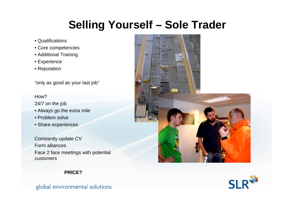### **Selling Yourself – Sole Trader**

- Qualifications
- Core competencies
- Additional Training
- Experience
- Reputation

"only as good as your last job"

#### How?

24/7 on the job

- Always go the extra mile
- Problem solve
- Share experiences

Constantly update CV Form alliancesFace 2 face meetings with potential customers





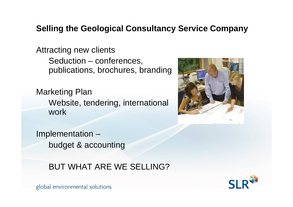#### **Selling the Geological Consultancy Service Company**

Attracting new clients Seduction – conferences, publications, brochures, branding

Marketing Plan Website, tendering, international work

Implementation – budget & accounting

#### BUT WHAT ARE WE SELLING?



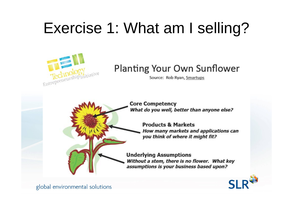## Exercise 1: What am I selling?



### **Planting Your Own Sunflower**

Source: Rob Ryan, Smartups

**Core Competency** What do you well, better than anyone else?

**Products & Markets** How many markets and applications can you think of where it might fit?

**Underlying Assumptions** Without a stem, there is no flower. What key assumptions is your business based upon?

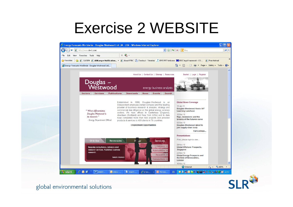### Exercise 2 WEBSITE



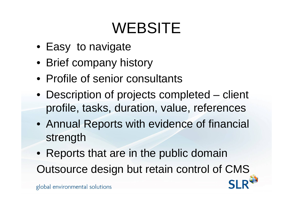## WEBSITE

- Easy to navigate
- Brief company history
- Profile of senior consultants
- Description of projects completed client profile, tasks, duration, value, references
- Annual Reports with evidence of financial strength
- Reports that are in the public domain

Outsource design but retain control of CMS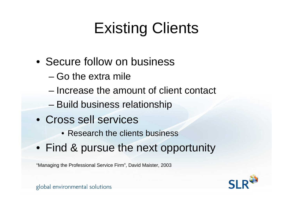## Existing Clients

- Secure follow on business
	- Go the extra mile
	- Increase the amount of client contact
	- Build business relationship
- Cross sell services
	- Research the clients business
- Find & pursue the next opportunity

"Managing the Professional Service Firm", David Maister, 2003

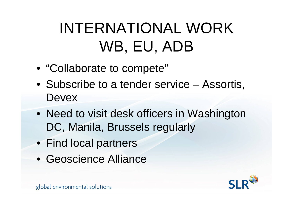## INTERNATIONAL WORK WB, EU, ADB

- "Collaborate to compete"
- Subscribe to a tender service Assortis, **Devex**
- Need to visit desk officers in Washington DC, Manila, Brussels regularly
- Find local partners
- Geoscience Alliance

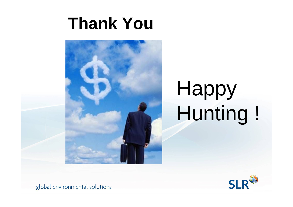## **Thank You**



# Happy Hunting !